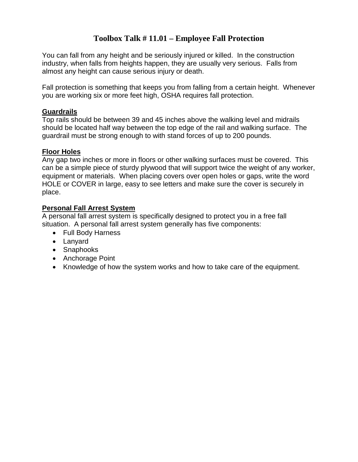### **Toolbox Talk # 11.01 – Employee Fall Protection**

You can fall from any height and be seriously injured or killed. In the construction industry, when falls from heights happen, they are usually very serious. Falls from almost any height can cause serious injury or death.

Fall protection is something that keeps you from falling from a certain height. Whenever you are working six or more feet high, OSHA requires fall protection.

#### **Guardrails**

Top rails should be between 39 and 45 inches above the walking level and midrails should be located half way between the top edge of the rail and walking surface. The guardrail must be strong enough to with stand forces of up to 200 pounds.

#### **Floor Holes**

Any gap two inches or more in floors or other walking surfaces must be covered. This can be a simple piece of sturdy plywood that will support twice the weight of any worker, equipment or materials. When placing covers over open holes or gaps, write the word HOLE or COVER in large, easy to see letters and make sure the cover is securely in place.

#### **Personal Fall Arrest System**

A personal fall arrest system is specifically designed to protect you in a free fall situation. A personal fall arrest system generally has five components:

- Full Body Harness
- Lanyard
- Snaphooks
- Anchorage Point
- Knowledge of how the system works and how to take care of the equipment.